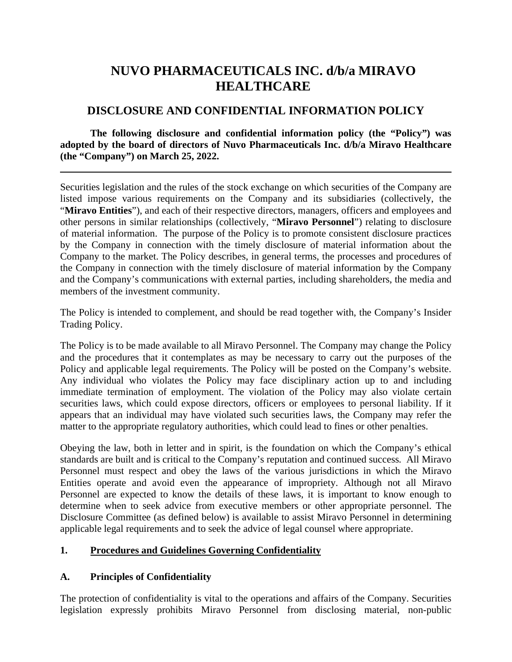# **NUVO PHARMACEUTICALS INC. d/b/a MIRAVO HEALTHCARE**

## **DISCLOSURE AND CONFIDENTIAL INFORMATION POLICY**

**The following disclosure and confidential information policy (the "Policy") was adopted by the board of directors of Nuvo Pharmaceuticals Inc. d/b/a Miravo Healthcare (the "Company") on March 25, 2022.**

Securities legislation and the rules of the stock exchange on which securities of the Company are listed impose various requirements on the Company and its subsidiaries (collectively, the "**Miravo Entities**"), and each of their respective directors, managers, officers and employees and other persons in similar relationships (collectively, "**Miravo Personnel**") relating to disclosure of material information. The purpose of the Policy is to promote consistent disclosure practices by the Company in connection with the timely disclosure of material information about the Company to the market. The Policy describes, in general terms, the processes and procedures of the Company in connection with the timely disclosure of material information by the Company and the Company's communications with external parties, including shareholders, the media and members of the investment community.

The Policy is intended to complement, and should be read together with, the Company's Insider Trading Policy.

The Policy is to be made available to all Miravo Personnel. The Company may change the Policy and the procedures that it contemplates as may be necessary to carry out the purposes of the Policy and applicable legal requirements. The Policy will be posted on the Company's website. Any individual who violates the Policy may face disciplinary action up to and including immediate termination of employment. The violation of the Policy may also violate certain securities laws, which could expose directors, officers or employees to personal liability. If it appears that an individual may have violated such securities laws, the Company may refer the matter to the appropriate regulatory authorities, which could lead to fines or other penalties.

Obeying the law, both in letter and in spirit, is the foundation on which the Company's ethical standards are built and is critical to the Company's reputation and continued success. All Miravo Personnel must respect and obey the laws of the various jurisdictions in which the Miravo Entities operate and avoid even the appearance of impropriety. Although not all Miravo Personnel are expected to know the details of these laws, it is important to know enough to determine when to seek advice from executive members or other appropriate personnel. The Disclosure Committee (as defined below) is available to assist Miravo Personnel in determining applicable legal requirements and to seek the advice of legal counsel where appropriate.

### **1. Procedures and Guidelines Governing Confidentiality**

### **A. Principles of Confidentiality**

The protection of confidentiality is vital to the operations and affairs of the Company. Securities legislation expressly prohibits Miravo Personnel from disclosing material, non-public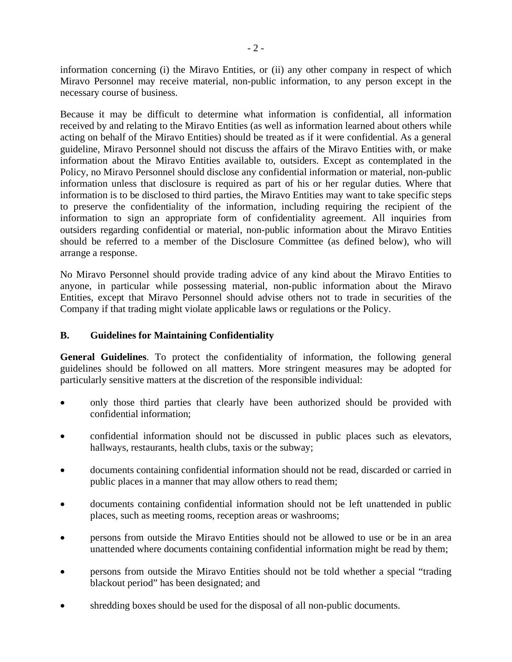information concerning (i) the Miravo Entities, or (ii) any other company in respect of which Miravo Personnel may receive material, non-public information, to any person except in the necessary course of business.

Because it may be difficult to determine what information is confidential, all information received by and relating to the Miravo Entities (as well as information learned about others while acting on behalf of the Miravo Entities) should be treated as if it were confidential. As a general guideline, Miravo Personnel should not discuss the affairs of the Miravo Entities with, or make information about the Miravo Entities available to, outsiders. Except as contemplated in the Policy, no Miravo Personnel should disclose any confidential information or material, non-public information unless that disclosure is required as part of his or her regular duties. Where that information is to be disclosed to third parties, the Miravo Entities may want to take specific steps to preserve the confidentiality of the information, including requiring the recipient of the information to sign an appropriate form of confidentiality agreement. All inquiries from outsiders regarding confidential or material, non-public information about the Miravo Entities should be referred to a member of the Disclosure Committee (as defined below), who will arrange a response.

No Miravo Personnel should provide trading advice of any kind about the Miravo Entities to anyone, in particular while possessing material, non-public information about the Miravo Entities, except that Miravo Personnel should advise others not to trade in securities of the Company if that trading might violate applicable laws or regulations or the Policy.

#### **B. Guidelines for Maintaining Confidentiality**

**General Guidelines**. To protect the confidentiality of information, the following general guidelines should be followed on all matters. More stringent measures may be adopted for particularly sensitive matters at the discretion of the responsible individual:

- only those third parties that clearly have been authorized should be provided with confidential information;
- confidential information should not be discussed in public places such as elevators, hallways, restaurants, health clubs, taxis or the subway;
- documents containing confidential information should not be read, discarded or carried in public places in a manner that may allow others to read them;
- documents containing confidential information should not be left unattended in public places, such as meeting rooms, reception areas or washrooms;
- persons from outside the Miravo Entities should not be allowed to use or be in an area unattended where documents containing confidential information might be read by them;
- persons from outside the Miravo Entities should not be told whether a special "trading blackout period" has been designated; and
- shredding boxes should be used for the disposal of all non-public documents.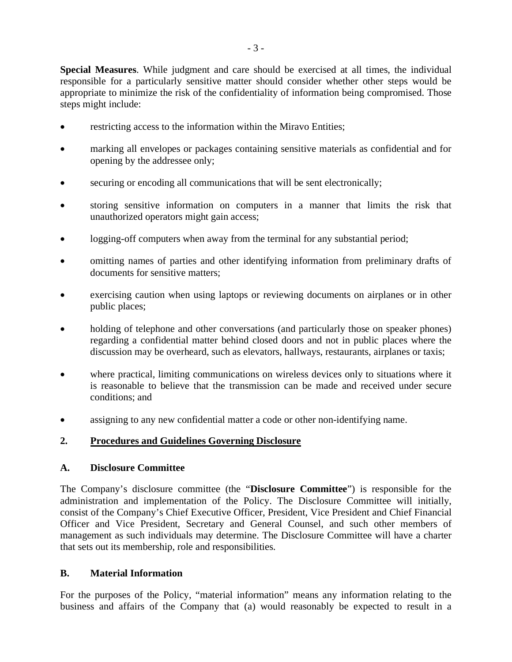**Special Measures**. While judgment and care should be exercised at all times, the individual responsible for a particularly sensitive matter should consider whether other steps would be appropriate to minimize the risk of the confidentiality of information being compromised. Those steps might include:

- restricting access to the information within the Miravo Entities;
- marking all envelopes or packages containing sensitive materials as confidential and for opening by the addressee only;
- securing or encoding all communications that will be sent electronically;
- storing sensitive information on computers in a manner that limits the risk that unauthorized operators might gain access;
- logging-off computers when away from the terminal for any substantial period;
- omitting names of parties and other identifying information from preliminary drafts of documents for sensitive matters;
- exercising caution when using laptops or reviewing documents on airplanes or in other public places;
- holding of telephone and other conversations (and particularly those on speaker phones) regarding a confidential matter behind closed doors and not in public places where the discussion may be overheard, such as elevators, hallways, restaurants, airplanes or taxis;
- where practical, limiting communications on wireless devices only to situations where it is reasonable to believe that the transmission can be made and received under secure conditions; and
- assigning to any new confidential matter a code or other non-identifying name.

### **2. Procedures and Guidelines Governing Disclosure**

#### **A. Disclosure Committee**

The Company's disclosure committee (the "**Disclosure Committee**") is responsible for the administration and implementation of the Policy. The Disclosure Committee will initially, consist of the Company's Chief Executive Officer, President, Vice President and Chief Financial Officer and Vice President, Secretary and General Counsel, and such other members of management as such individuals may determine. The Disclosure Committee will have a charter that sets out its membership, role and responsibilities.

#### **B. Material Information**

For the purposes of the Policy, "material information" means any information relating to the business and affairs of the Company that (a) would reasonably be expected to result in a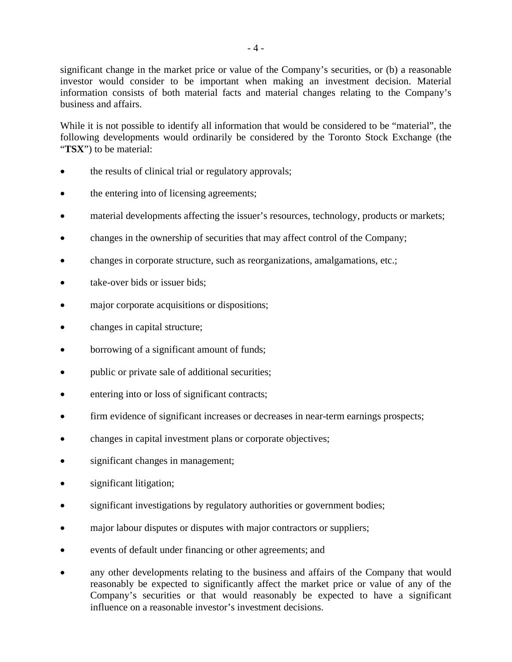significant change in the market price or value of the Company's securities, or (b) a reasonable investor would consider to be important when making an investment decision. Material information consists of both material facts and material changes relating to the Company's business and affairs.

While it is not possible to identify all information that would be considered to be "material", the following developments would ordinarily be considered by the Toronto Stock Exchange (the "**TSX**") to be material:

- the results of clinical trial or regulatory approvals;
- the entering into of licensing agreements;
- material developments affecting the issuer's resources, technology, products or markets;
- changes in the ownership of securities that may affect control of the Company;
- changes in corporate structure, such as reorganizations, amalgamations, etc.;
- take-over bids or issuer bids:
- major corporate acquisitions or dispositions;
- changes in capital structure;
- borrowing of a significant amount of funds;
- public or private sale of additional securities;
- entering into or loss of significant contracts;
- firm evidence of significant increases or decreases in near-term earnings prospects;
- changes in capital investment plans or corporate objectives;
- significant changes in management;
- significant litigation;
- significant investigations by regulatory authorities or government bodies;
- major labour disputes or disputes with major contractors or suppliers;
- events of default under financing or other agreements; and
- any other developments relating to the business and affairs of the Company that would reasonably be expected to significantly affect the market price or value of any of the Company's securities or that would reasonably be expected to have a significant influence on a reasonable investor's investment decisions.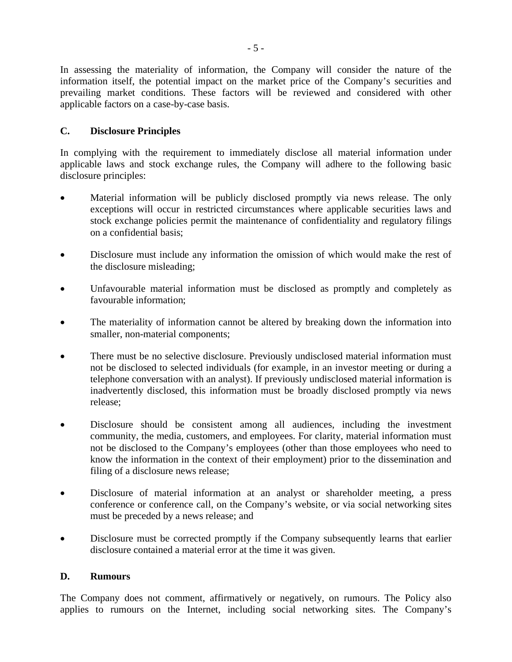In assessing the materiality of information, the Company will consider the nature of the information itself, the potential impact on the market price of the Company's securities and prevailing market conditions. These factors will be reviewed and considered with other applicable factors on a case-by-case basis.

#### **C. Disclosure Principles**

In complying with the requirement to immediately disclose all material information under applicable laws and stock exchange rules, the Company will adhere to the following basic disclosure principles:

- Material information will be publicly disclosed promptly via news release. The only exceptions will occur in restricted circumstances where applicable securities laws and stock exchange policies permit the maintenance of confidentiality and regulatory filings on a confidential basis;
- Disclosure must include any information the omission of which would make the rest of the disclosure misleading;
- Unfavourable material information must be disclosed as promptly and completely as favourable information;
- The materiality of information cannot be altered by breaking down the information into smaller, non-material components;
- There must be no selective disclosure. Previously undisclosed material information must not be disclosed to selected individuals (for example, in an investor meeting or during a telephone conversation with an analyst). If previously undisclosed material information is inadvertently disclosed, this information must be broadly disclosed promptly via news release;
- Disclosure should be consistent among all audiences, including the investment community, the media, customers, and employees. For clarity, material information must not be disclosed to the Company's employees (other than those employees who need to know the information in the context of their employment) prior to the dissemination and filing of a disclosure news release;
- Disclosure of material information at an analyst or shareholder meeting, a press conference or conference call, on the Company's website, or via social networking sites must be preceded by a news release; and
- Disclosure must be corrected promptly if the Company subsequently learns that earlier disclosure contained a material error at the time it was given.

#### **D. Rumours**

The Company does not comment, affirmatively or negatively, on rumours. The Policy also applies to rumours on the Internet, including social networking sites. The Company's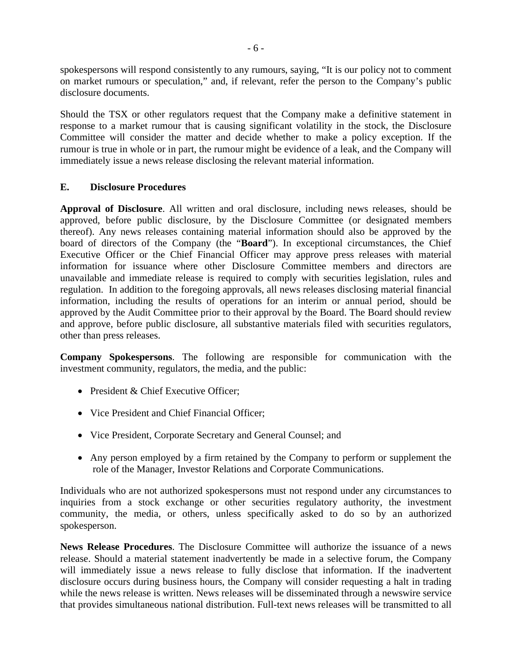spokespersons will respond consistently to any rumours, saying, "It is our policy not to comment on market rumours or speculation," and, if relevant, refer the person to the Company's public disclosure documents.

Should the TSX or other regulators request that the Company make a definitive statement in response to a market rumour that is causing significant volatility in the stock, the Disclosure Committee will consider the matter and decide whether to make a policy exception. If the rumour is true in whole or in part, the rumour might be evidence of a leak, and the Company will immediately issue a news release disclosing the relevant material information.

#### **E. Disclosure Procedures**

**Approval of Disclosure**. All written and oral disclosure, including news releases, should be approved, before public disclosure, by the Disclosure Committee (or designated members thereof). Any news releases containing material information should also be approved by the board of directors of the Company (the "**Board**"). In exceptional circumstances, the Chief Executive Officer or the Chief Financial Officer may approve press releases with material information for issuance where other Disclosure Committee members and directors are unavailable and immediate release is required to comply with securities legislation, rules and regulation. In addition to the foregoing approvals, all news releases disclosing material financial information, including the results of operations for an interim or annual period, should be approved by the Audit Committee prior to their approval by the Board. The Board should review and approve, before public disclosure, all substantive materials filed with securities regulators, other than press releases.

**Company Spokespersons**. The following are responsible for communication with the investment community, regulators, the media, and the public:

- President & Chief Executive Officer:
- Vice President and Chief Financial Officer;
- Vice President, Corporate Secretary and General Counsel; and
- Any person employed by a firm retained by the Company to perform or supplement the role of the Manager, Investor Relations and Corporate Communications.

Individuals who are not authorized spokespersons must not respond under any circumstances to inquiries from a stock exchange or other securities regulatory authority, the investment community, the media, or others, unless specifically asked to do so by an authorized spokesperson.

**News Release Procedures**. The Disclosure Committee will authorize the issuance of a news release. Should a material statement inadvertently be made in a selective forum, the Company will immediately issue a news release to fully disclose that information. If the inadvertent disclosure occurs during business hours, the Company will consider requesting a halt in trading while the news release is written. News releases will be disseminated through a newswire service that provides simultaneous national distribution. Full-text news releases will be transmitted to all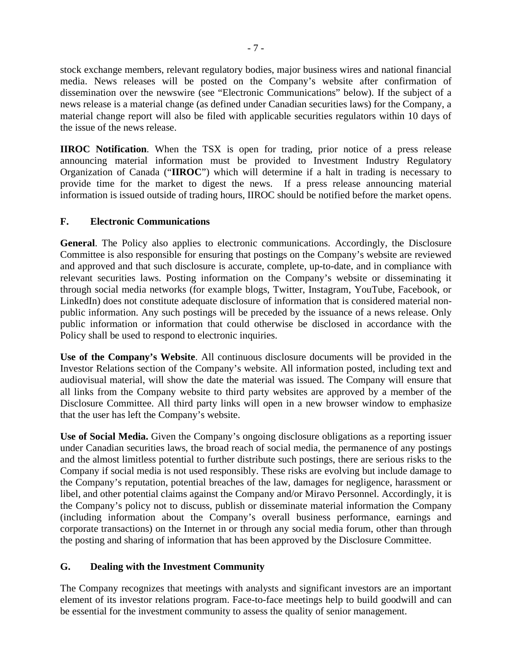stock exchange members, relevant regulatory bodies, major business wires and national financial media. News releases will be posted on the Company's website after confirmation of dissemination over the newswire (see "Electronic Communications" below). If the subject of a news release is a material change (as defined under Canadian securities laws) for the Company, a material change report will also be filed with applicable securities regulators within 10 days of the issue of the news release.

**IIROC Notification**. When the TSX is open for trading, prior notice of a press release announcing material information must be provided to Investment Industry Regulatory Organization of Canada ("**IIROC**") which will determine if a halt in trading is necessary to provide time for the market to digest the news. If a press release announcing material information is issued outside of trading hours, IIROC should be notified before the market opens.

#### **F. Electronic Communications**

**General**. The Policy also applies to electronic communications. Accordingly, the Disclosure Committee is also responsible for ensuring that postings on the Company's website are reviewed and approved and that such disclosure is accurate, complete, up-to-date, and in compliance with relevant securities laws. Posting information on the Company's website or disseminating it through social media networks (for example blogs, Twitter, Instagram, YouTube, Facebook, or LinkedIn) does not constitute adequate disclosure of information that is considered material nonpublic information. Any such postings will be preceded by the issuance of a news release. Only public information or information that could otherwise be disclosed in accordance with the Policy shall be used to respond to electronic inquiries.

**Use of the Company's Website**. All continuous disclosure documents will be provided in the Investor Relations section of the Company's website. All information posted, including text and audiovisual material, will show the date the material was issued. The Company will ensure that all links from the Company website to third party websites are approved by a member of the Disclosure Committee. All third party links will open in a new browser window to emphasize that the user has left the Company's website.

**Use of Social Media.** Given the Company's ongoing disclosure obligations as a reporting issuer under Canadian securities laws, the broad reach of social media, the permanence of any postings and the almost limitless potential to further distribute such postings, there are serious risks to the Company if social media is not used responsibly. These risks are evolving but include damage to the Company's reputation, potential breaches of the law, damages for negligence, harassment or libel, and other potential claims against the Company and/or Miravo Personnel. Accordingly, it is the Company's policy not to discuss, publish or disseminate material information the Company (including information about the Company's overall business performance, earnings and corporate transactions) on the Internet in or through any social media forum, other than through the posting and sharing of information that has been approved by the Disclosure Committee.

#### **G. Dealing with the Investment Community**

The Company recognizes that meetings with analysts and significant investors are an important element of its investor relations program. Face-to-face meetings help to build goodwill and can be essential for the investment community to assess the quality of senior management.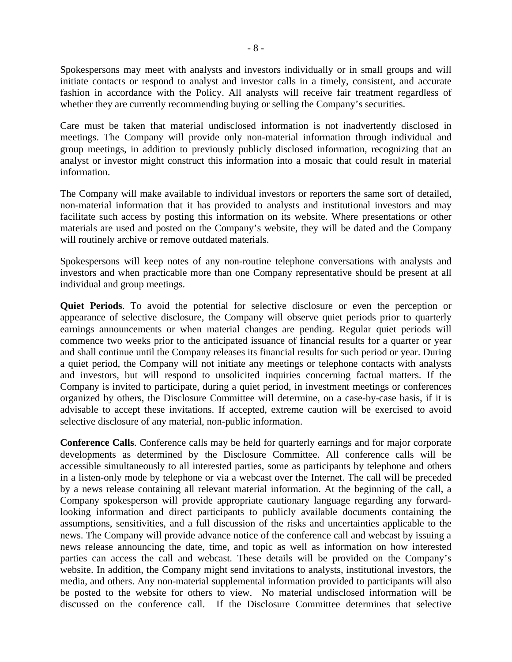Spokespersons may meet with analysts and investors individually or in small groups and will initiate contacts or respond to analyst and investor calls in a timely, consistent, and accurate fashion in accordance with the Policy. All analysts will receive fair treatment regardless of whether they are currently recommending buying or selling the Company's securities.

Care must be taken that material undisclosed information is not inadvertently disclosed in meetings. The Company will provide only non-material information through individual and group meetings, in addition to previously publicly disclosed information, recognizing that an analyst or investor might construct this information into a mosaic that could result in material information.

The Company will make available to individual investors or reporters the same sort of detailed, non-material information that it has provided to analysts and institutional investors and may facilitate such access by posting this information on its website. Where presentations or other materials are used and posted on the Company's website, they will be dated and the Company will routinely archive or remove outdated materials.

Spokespersons will keep notes of any non-routine telephone conversations with analysts and investors and when practicable more than one Company representative should be present at all individual and group meetings.

**Quiet Periods**. To avoid the potential for selective disclosure or even the perception or appearance of selective disclosure, the Company will observe quiet periods prior to quarterly earnings announcements or when material changes are pending. Regular quiet periods will commence two weeks prior to the anticipated issuance of financial results for a quarter or year and shall continue until the Company releases its financial results for such period or year. During a quiet period, the Company will not initiate any meetings or telephone contacts with analysts and investors, but will respond to unsolicited inquiries concerning factual matters. If the Company is invited to participate, during a quiet period, in investment meetings or conferences organized by others, the Disclosure Committee will determine, on a case-by-case basis, if it is advisable to accept these invitations. If accepted, extreme caution will be exercised to avoid selective disclosure of any material, non-public information.

**Conference Calls**. Conference calls may be held for quarterly earnings and for major corporate developments as determined by the Disclosure Committee. All conference calls will be accessible simultaneously to all interested parties, some as participants by telephone and others in a listen-only mode by telephone or via a webcast over the Internet. The call will be preceded by a news release containing all relevant material information. At the beginning of the call, a Company spokesperson will provide appropriate cautionary language regarding any forwardlooking information and direct participants to publicly available documents containing the assumptions, sensitivities, and a full discussion of the risks and uncertainties applicable to the news. The Company will provide advance notice of the conference call and webcast by issuing a news release announcing the date, time, and topic as well as information on how interested parties can access the call and webcast. These details will be provided on the Company's website. In addition, the Company might send invitations to analysts, institutional investors, the media, and others. Any non-material supplemental information provided to participants will also be posted to the website for others to view. No material undisclosed information will be discussed on the conference call. If the Disclosure Committee determines that selective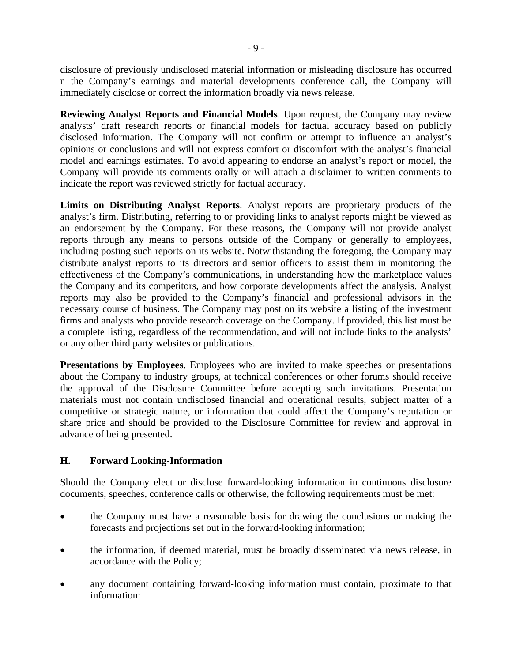disclosure of previously undisclosed material information or misleading disclosure has occurred n the Company's earnings and material developments conference call, the Company will immediately disclose or correct the information broadly via news release.

**Reviewing Analyst Reports and Financial Models**. Upon request, the Company may review analysts' draft research reports or financial models for factual accuracy based on publicly disclosed information. The Company will not confirm or attempt to influence an analyst's opinions or conclusions and will not express comfort or discomfort with the analyst's financial model and earnings estimates. To avoid appearing to endorse an analyst's report or model, the Company will provide its comments orally or will attach a disclaimer to written comments to indicate the report was reviewed strictly for factual accuracy.

**Limits on Distributing Analyst Reports**. Analyst reports are proprietary products of the analyst's firm. Distributing, referring to or providing links to analyst reports might be viewed as an endorsement by the Company. For these reasons, the Company will not provide analyst reports through any means to persons outside of the Company or generally to employees, including posting such reports on its website. Notwithstanding the foregoing, the Company may distribute analyst reports to its directors and senior officers to assist them in monitoring the effectiveness of the Company's communications, in understanding how the marketplace values the Company and its competitors, and how corporate developments affect the analysis. Analyst reports may also be provided to the Company's financial and professional advisors in the necessary course of business. The Company may post on its website a listing of the investment firms and analysts who provide research coverage on the Company. If provided, this list must be a complete listing, regardless of the recommendation, and will not include links to the analysts' or any other third party websites or publications.

**Presentations by Employees**. Employees who are invited to make speeches or presentations about the Company to industry groups, at technical conferences or other forums should receive the approval of the Disclosure Committee before accepting such invitations. Presentation materials must not contain undisclosed financial and operational results, subject matter of a competitive or strategic nature, or information that could affect the Company's reputation or share price and should be provided to the Disclosure Committee for review and approval in advance of being presented.

#### **H. Forward Looking-Information**

Should the Company elect or disclose forward-looking information in continuous disclosure documents, speeches, conference calls or otherwise, the following requirements must be met:

- the Company must have a reasonable basis for drawing the conclusions or making the forecasts and projections set out in the forward-looking information;
- the information, if deemed material, must be broadly disseminated via news release, in accordance with the Policy;
- any document containing forward-looking information must contain, proximate to that information: